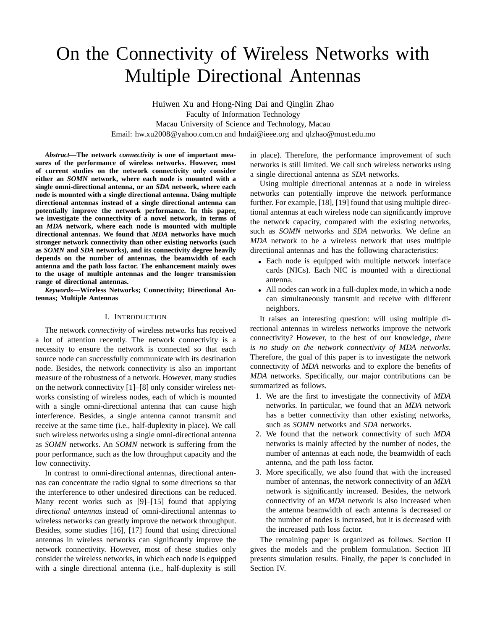# On the Connectivity of Wireless Networks with Multiple Directional Antennas

Huiwen Xu and Hong-Ning Dai and Qinglin Zhao Faculty of Information Technology Macau University of Science and Technology, Macau Email: hw.xu2008@yahoo.com.cn and hndai@ieee.org and qlzhao@must.edu.mo

*Abstract***—The network** *connectivity* **is one of important measures of the performance of wireless networks. However, most of current studies on the network connectivity only consider either an** *SOMN* **network, where each node is mounted with a single omni-directional antenna, or an** *SDA* **network, where each node is mounted with a single directional antenna. Using multiple directional antennas instead of a single directional antenna can potentially improve the network performance. In this paper, we investigate the connectivity of a novel network, in terms of an** *MDA* **network, where each node is mounted with multiple directional antennas. We found that** *MDA* **networks have much stronger network connectivity than other existing networks (such as** *SOMN* **and** *SDA* **networks), and its connectivity degree heavily depends on the number of antennas, the beamwidth of each antenna and the path loss factor. The enhancement mainly owes to the usage of multiple antennas and the longer transmission range of directional antennas.**

*Keywords***—Wireless Networks; Connectivity; Directional Antennas; Multiple Antennas**

# I. INTRODUCTION

The network *connectivity* of wireless networks has received a lot of attention recently. The network connectivity is a necessity to ensure the network is connected so that each source node can successfully communicate with its destination node. Besides, the network connectivity is also an important measure of the robustness of a network. However, many studies on the network connectivity [1]–[8] only consider wireless networks consisting of wireless nodes, each of which is mounted with a single omni-directional antenna that can cause high interference. Besides, a single antenna cannot transmit and receive at the same time (i.e., half-duplexity in place). We call such wireless networks using a single omni-directional antenna as *SOMN* networks. An *SOMN* network is suffering from the poor performance, such as the low throughput capacity and the low connectivity.

In contrast to omni-directional antennas, directional antennas can concentrate the radio signal to some directions so that the interference to other undesired directions can be reduced. Many recent works such as [9]–[15] found that applying *directional antennas* instead of omni-directional antennas to wireless networks can greatly improve the network throughput. Besides, some studies [16], [17] found that using directional antennas in wireless networks can significantly improve the network connectivity. However, most of these studies only consider the wireless networks, in which each node is equipped with a single directional antenna (i.e., half-duplexity is still in place). Therefore, the performance improvement of such networks is still limited. We call such wireless networks using a single directional antenna as *SDA* networks.

Using multiple directional antennas at a node in wireless networks can potentially improve the network performance further. For example, [18], [19] found that using multiple directional antennas at each wireless node can significantly improve the network capacity, compared with the existing networks, such as *SOMN* networks and *SDA* networks. We define an *MDA* network to be a wireless network that uses multiple directional antennas and has the following characteristics:

- Each node is equipped with multiple network interface cards (NICs). Each NIC is mounted with a directional antenna.
- All nodes can work in a full-duplex mode, in which a node can simultaneously transmit and receive with different neighbors.

It raises an interesting question: will using multiple directional antennas in wireless networks improve the network connectivity? However, to the best of our knowledge, *there is no study on the network connectivity of MDA networks*. Therefore, the goal of this paper is to investigate the network connectivity of *MDA* networks and to explore the benefits of *MDA* networks. Specifically, our major contributions can be summarized as follows.

- 1. We are the first to investigate the connectivity of *MDA* networks. In particular, we found that an *MDA* network has a better connectivity than other existing networks, such as *SOMN* networks and *SDA* networks.
- 2. We found that the network connectivity of such *MDA* networks is mainly affected by the number of nodes, the number of antennas at each node, the beamwidth of each antenna, and the path loss factor.
- 3. More specifically, we also found that with the increased number of antennas, the network connectivity of an *MDA* network is significantly increased. Besides, the network connectivity of an *MDA* network is also increased when the antenna beamwidth of each antenna is decreased or the number of nodes is increased, but it is decreased with the increased path loss factor.

The remaining paper is organized as follows. Section II gives the models and the problem formulation. Section III presents simulation results. Finally, the paper is concluded in Section IV.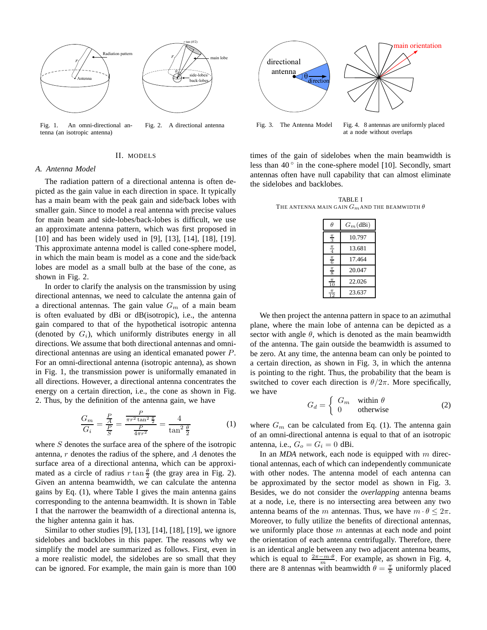

Fig. 1. An omni-directional antenna (an isotropic antenna) Fig. 2. A directional antenna

## II. MODELS

### *A. Antenna Model*

The radiation pattern of a directional antenna is often depicted as the gain value in each direction in space. It typically has a main beam with the peak gain and side/back lobes with smaller gain. Since to model a real antenna with precise values for main beam and side-lobes/back-lobes is difficult, we use an approximate antenna pattern, which was first proposed in [10] and has been widely used in [9], [13], [14], [18], [19]. This approximate antenna model is called cone-sphere model, in which the main beam is model as a cone and the side/back lobes are model as a small bulb at the base of the cone, as shown in Fig. 2.

In order to clarify the analysis on the transmission by using directional antennas, we need to calculate the antenna gain of a directional antennas. The gain value  $G_m$  of a main beam is often evaluated by dBi or dB(isotropic), i.e., the antenna gain compared to that of the hypothetical isotropic antenna (denoted by  $G_i$ ), which uniformly distributes energy in all directions. We assume that both directional antennas and omnidirectional antennas are using an identical emanated power P. For an omni-directional antenna (isotropic antenna), as shown in Fig. 1, the transmission power is uniformally emanated in all directions. However, a directional antenna concentrates the energy on a certain direction, i.e., the cone as shown in Fig. 2. Thus, by the definition of the antenna gain, we have

$$
\frac{G_m}{G_i} = \frac{\frac{P}{A}}{\frac{P}{S}} = \frac{\frac{P}{\pi r^2 \tan^2 \frac{\theta}{2}}}{\frac{P}{4\pi r^2}} = \frac{4}{\tan^2 \frac{\theta}{2}}
$$
(1)

where  $S$  denotes the surface area of the sphere of the isotropic antenna,  $r$  denotes the radius of the sphere, and  $\ddot{A}$  denotes the surface area of a directional antenna, which can be approximated as a circle of radius  $r \tan \frac{\theta}{2}$  (the gray area in Fig. 2). Given an antenna beamwidth, we can calculate the antenna gains by Eq. (1), where Table I gives the main antenna gains corresponding to the antenna beamwidth. It is shown in Table I that the narrower the beamwidth of a directional antenna is, the higher antenna gain it has.

Similar to other studies [9], [13], [14], [18], [19], we ignore sidelobes and backlobes in this paper. The reasons why we simplify the model are summarized as follows. First, even in a more realistic model, the sidelobes are so small that they can be ignored. For example, the main gain is more than 100



at a node without overlaps

times of the gain of sidelobes when the main beamwidth is less than  $40^\circ$  in the cone-sphere model [10]. Secondly, smart antennas often have null capability that can almost eliminate the sidelobes and backlobes.

TABLE I THE ANTENNA MAIN GAIN  $G_m$  and the beamwidth  $\theta$ 

| Ĥ                | $G_m(dBi)$ |
|------------------|------------|
| $\frac{\pi}{3}$  | 10.797     |
| $\frac{\pi}{4}$  | 13.681     |
| $\frac{\pi}{6}$  | 17.464     |
| $\frac{\pi}{8}$  | 20.047     |
| $\frac{\pi}{10}$ | 22.026     |
| $\frac{\pi}{12}$ | 23.637     |
|                  |            |

We then project the antenna pattern in space to an azimuthal plane, where the main lobe of antenna can be depicted as a sector with angle  $\theta$ , which is denoted as the main beamwidth of the antenna. The gain outside the beamwidth is assumed to be zero. At any time, the antenna beam can only be pointed to a certain direction, as shown in Fig. 3, in which the antenna is pointing to the right. Thus, the probability that the beam is switched to cover each direction is  $\theta/2\pi$ . More specifically, we have

$$
G_d = \begin{cases} G_m & \text{within } \theta \\ 0 & \text{otherwise} \end{cases}
$$
 (2)

where  $G_m$  can be calculated from Eq. (1). The antenna gain of an omni-directional antenna is equal to that of an isotropic antenna, i.e.,  $G_o = G_i = 0$  dBi.

In an *MDA* network, each node is equipped with m directional antennas, each of which can independently communicate with other nodes. The antenna model of each antenna can be approximated by the sector model as shown in Fig. 3. Besides, we do not consider the *overlapping* antenna beams at a node, i.e, there is no intersecting area between any two antenna beams of the m antennas. Thus, we have  $m \cdot \theta \leq 2\pi$ . Moreover, to fully utilize the benefits of directional antennas, we uniformly place those  $m$  antennas at each node and point the orientation of each antenna centrifugally. Therefore, there is an identical angle between any two adjacent antenna beams, which is equal to  $\frac{2\pi - m \cdot \theta}{m}$ . For example, as shown in Fig. 4, there are 8 antennas with beamwidth  $\theta = \frac{\pi}{8}$  uniformly placed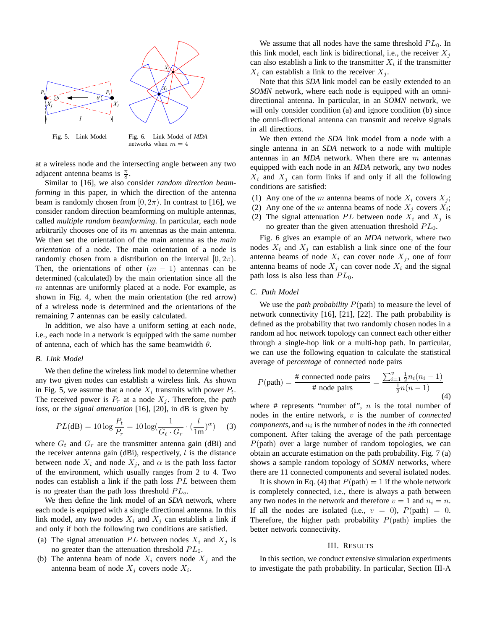

Fig. 5. Link Model Fig. 6. Link Model of *MDA* networks when  $m = 4$ 

at a wireless node and the intersecting angle between any two adjacent antenna beams is  $\frac{\pi}{8}$ .

Similar to [16], we also consider *random direction beamforming* in this paper, in which the direction of the antenna beam is randomly chosen from [0,  $2\pi$ ). In contrast to [16], we consider random direction beamforming on multiple antennas, called *multiple random beamforming*. In particular, each node arbitrarily chooses one of its  $m$  antennas as the main antenna. We then set the orientation of the main antenna as the *main orientation* of a node. The main orientation of a node is randomly chosen from a distribution on the interval  $[0, 2\pi)$ . Then, the orientations of other  $(m - 1)$  antennas can be determined (calculated) by the main orientation since all the  $m$  antennas are uniformly placed at a node. For example, as shown in Fig. 4, when the main orientation (the red arrow) of a wireless node is determined and the orientations of the remaining 7 antennas can be easily calculated.

In addition, we also have a uniform setting at each node, i.e., each node in a network is equipped with the same number of antenna, each of which has the same beamwidth  $\theta$ .

## *B. Link Model*

We then define the wireless link model to determine whether any two given nodes can establish a wireless link. As shown in Fig. 5, we assume that a node  $X_i$  transmits with power  $P_t$ . The received power is  $P_r$  at a node  $X_j$ . Therefore, the *path loss*, or the *signal attenuation* [16], [20], in dB is given by

$$
PL(\text{dB}) = 10 \log \frac{P_t}{P_r} = 10 \log \left( \frac{1}{G_t \cdot G_r} \cdot \left( \frac{l}{1 \text{m}} \right)^{\alpha} \right) \tag{3}
$$

where  $G_t$  and  $G_r$  are the transmitter antenna gain (dBi) and the receiver antenna gain (dBi), respectively,  $l$  is the distance between node  $X_i$  and node  $X_j$ , and  $\alpha$  is the path loss factor of the environment, which usually ranges from 2 to 4. Two nodes can establish a link if the path loss  $PL$  between them is no greater than the path loss threshold  $PL<sub>o</sub>$ .

We then define the link model of an *SDA* network, where each node is equipped with a single directional antenna. In this link model, any two nodes  $X_i$  and  $X_j$  can establish a link if and only if both the following two conditions are satisfied.

- (a) The signal attenuation PL between nodes  $X_i$  and  $X_j$  is no greater than the attenuation threshold  $PL_0$ .
- (b) The antenna beam of node  $X_i$  covers node  $X_j$  and the antenna beam of node  $X_j$  covers node  $X_i$ .

We assume that all nodes have the same threshold  $PL_0$ . In this link model, each link is bidirectional, i.e., the receiver  $X_i$ can also establish a link to the transmitter  $X_i$  if the transmitter  $X_i$  can establish a link to the receiver  $X_i$ .

Note that this *SDA* link model can be easily extended to an *SOMN* network, where each node is equipped with an omnidirectional antenna. In particular, in an *SOMN* network, we will only consider condition (a) and ignore condition (b) since the omni-directional antenna can transmit and receive signals in all directions.

We then extend the *SDA* link model from a node with a single antenna in an *SDA* network to a node with multiple antennas in an *MDA* network. When there are m antennas equipped with each node in an *MDA* network, any two nodes  $X_i$  and  $X_j$  can form links if and only if all the following conditions are satisfied:

- (1) Any one of the m antenna beams of node  $X_i$  covers  $X_j$ ;
- (2) Any one of the m antenna beams of node  $X_j$  covers  $X_i$ ;
- (2) The signal attenuation PL between node  $X_i$  and  $X_j$  is no greater than the given attenuation threshold  $PL_0$ .

Fig. 6 gives an example of an *MDA* network, where two nodes  $X_i$  and  $X_j$  can establish a link since one of the four antenna beams of node  $X_i$  can cover node  $X_j$ , one of four antenna beams of node  $X_i$  can cover node  $X_i$  and the signal path loss is also less than  $PL_0$ .

## *C. Path Model*

We use the *path probability* P(path) to measure the level of network connectivity [16], [21], [22]. The path probability is defined as the probability that two randomly chosen nodes in a random ad hoc network topology can connect each other either through a single-hop link or a multi-hop path. In particular, we can use the following equation to calculate the statistical average of *percentage* of connected node pairs

$$
P(\text{path}) = \frac{\text{\# connected node pairs}}{\text{\# node pairs}} = \frac{\sum_{i=1}^{v} \frac{1}{2} n_i (n_i - 1)}{\frac{1}{2} n (n - 1)}
$$
(4)

where  $#$  represents "number of",  $n$  is the total number of nodes in the entire network, v is the number of *connected*  $components$ , and  $n_i$  is the number of nodes in the *i*th connected component. After taking the average of the path percentage  $P(\text{path})$  over a large number of random topologies, we can obtain an accurate estimation on the path probability. Fig. 7 (a) shows a sample random topology of *SOMN* networks, where there are 11 connected components and several isolated nodes.

It is shown in Eq. (4) that  $P(\text{path}) = 1$  if the whole network is completely connected, i.e., there is always a path between any two nodes in the network and therefore  $v = 1$  and  $n_i = n$ . If all the nodes are isolated (i.e.,  $v = 0$ ),  $P(\text{path}) = 0$ . Therefore, the higher path probability  $P(\text{path})$  implies the better network connectivity.

## III. RESULTS

In this section, we conduct extensive simulation experiments to investigate the path probability. In particular, Section III-A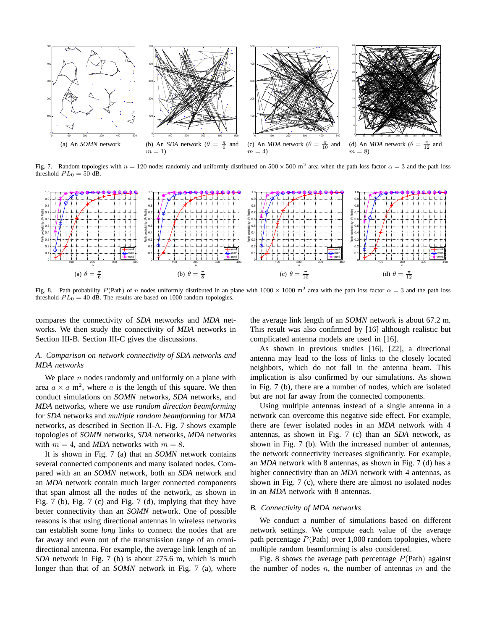

Fig. 7. Random topologies with  $n = 120$  nodes randomly and uniformly distributed on  $500 \times 500$  m<sup>2</sup> area when the path loss factor  $\alpha = 3$  and the path loss threshold  $PL_0 = 50$  dB.



Fig. 8. Path probability  $P(\text{Path})$  of n nodes uniformly distributed in an plane with  $1000 \times 1000$  m<sup>2</sup> area with the path loss factor  $\alpha = 3$  and the path loss threshold  $PL_0 = 40$  dB. The results are based on 1000 random topologies.

compares the connectivity of *SDA* networks and *MDA* networks. We then study the connectivity of *MDA* networks in Section III-B. Section III-C gives the discussions.

# *A. Comparison on network connectivity of SDA networks and MDA networks*

We place  $n$  nodes randomly and uniformly on a plane with area  $a \times a$  m<sup>2</sup>, where a is the length of this square. We then conduct simulations on *SOMN* networks, *SDA* networks, and *MDA* networks, where we use *random direction beamforming* for *SDA* networks and *multiple random beamforming* for *MDA* networks, as described in Section II-A. Fig. 7 shows example topologies of *SOMN* networks, *SDA* networks, *MDA* networks with  $m = 4$ , and *MDA* networks with  $m = 8$ .

It is shown in Fig. 7 (a) that an *SOMN* network contains several connected components and many isolated nodes. Compared with an an *SOMN* network, both an *SDA* network and an *MDA* network contain much larger connected components that span almost all the nodes of the network, as shown in Fig. 7 (b), Fig. 7 (c) and Fig. 7 (d), implying that they have better connectivity than an *SOMN* network. One of possible reasons is that using directional antennas in wireless networks can establish some *long* links to connect the nodes that are far away and even out of the transmission range of an omnidirectional antenna. For example, the average link length of an *SDA* network in Fig. 7 (b) is about 275.6 m, which is much longer than that of an *SOMN* network in Fig. 7 (a), where the average link length of an *SOMN* network is about 67.2 m. This result was also confirmed by [16] although realistic but complicated antenna models are used in [16].

As shown in previous studies [16], [22], a directional antenna may lead to the loss of links to the closely located neighbors, which do not fall in the antenna beam. This implication is also confirmed by our simulations. As shown in Fig. 7 (b), there are a number of nodes, which are isolated but are not far away from the connected components.

Using multiple antennas instead of a single antenna in a network can overcome this negative side effect. For example, there are fewer isolated nodes in an *MDA* network with 4 antennas, as shown in Fig. 7 (c) than an *SDA* network, as shown in Fig. 7 (b). With the increased number of antennas, the network connectivity increases significantly. For example, an *MDA* network with 8 antennas, as shown in Fig. 7 (d) has a higher connectivity than an *MDA* network with 4 antennas, as shown in Fig. 7 (c), where there are almost no isolated nodes in an *MDA* network with 8 antennas.

## *B. Connectivity of MDA networks*

We conduct a number of simulations based on different network settings. We compute each value of the average path percentage  $P(\text{Path})$  over 1,000 random topologies, where multiple random beamforming is also considered.

Fig. 8 shows the average path percentage  $P(\text{Path})$  against the number of nodes  $n$ , the number of antennas  $m$  and the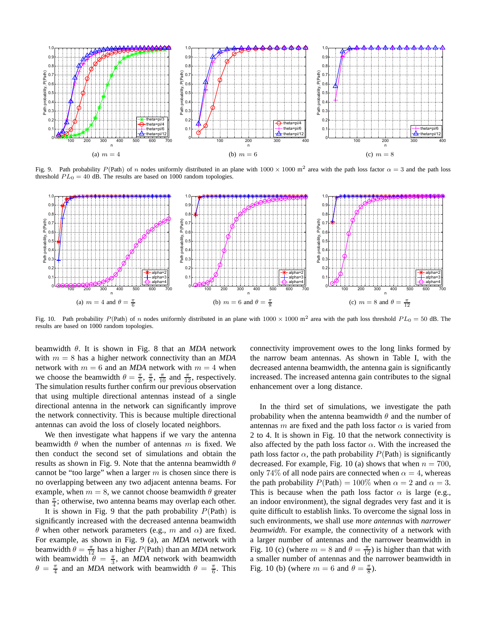

Fig. 9. Path probability  $P(\text{Path})$  of n nodes uniformly distributed in an plane with  $1000 \times 1000$  m<sup>2</sup> area with the path loss factor  $\alpha = 3$  and the path loss threshold  $PL_0 = 40$  dB. The results are based on 1000 random topologies.



Fig. 10. Path probability  $P(\text{Path})$  of n nodes uniformly distributed in an plane with  $1000 \times 1000$  m<sup>2</sup> area with the path loss threshold  $PL_0 = 50$  dB. The results are based on 1000 random topologies.

beamwidth θ. It is shown in Fig. 8 that an *MDA* network with  $m = 8$  has a higher network connectivity than an *MDA* network with  $m = 6$  and an *MDA* network with  $m = 4$  when we choose the beamwidth  $\theta = \frac{\pi}{6}, \frac{\pi}{8}, \frac{\pi}{10}$  and  $\frac{\pi}{12}$ , respectively. The simulation results further confirm our previous observation that using multiple directional antennas instead of a single directional antenna in the network can significantly improve the network connectivity. This is because multiple directional antennas can avoid the loss of closely located neighbors.

We then investigate what happens if we vary the antenna beamwidth  $\theta$  when the number of antennas m is fixed. We then conduct the second set of simulations and obtain the results as shown in Fig. 9. Note that the antenna beamwidth  $\theta$ cannot be "too large" when a larger  $m$  is chosen since there is no overlapping between any two adjacent antenna beams. For example, when  $m = 8$ , we cannot choose beamwidth  $\theta$  greater than  $\frac{\pi}{4}$ ; otherwise, two antenna beams may overlap each other.

It is shown in Fig. 9 that the path probability  $P(\text{Path})$  is significantly increased with the decreased antenna beamwidth θ when other network parameters (e.g., m and  $\alpha$ ) are fixed. For example, as shown in Fig. 9 (a), an *MDA* network with beamwidth  $\theta = \frac{\pi}{12}$  has a higher  $P(\text{Path})$  than an *MDA* network with beamwidth  $\theta = \frac{\pi}{3}$ , an *MDA* network with beamwidth  $\theta = \frac{\pi}{4}$  and an *MDA* network with beamwidth  $\theta = \frac{\pi}{6}$ . This

connectivity improvement owes to the long links formed by the narrow beam antennas. As shown in Table I, with the decreased antenna beamwidth, the antenna gain is significantly increased. The increased antenna gain contributes to the signal enhancement over a long distance.

In the third set of simulations, we investigate the path probability when the antenna beamwidth  $\theta$  and the number of antennas m are fixed and the path loss factor  $\alpha$  is varied from 2 to 4. It is shown in Fig. 10 that the network connectivity is also affected by the path loss factor  $\alpha$ . With the increased the path loss factor  $\alpha$ , the path probability  $P(\text{Path})$  is significantly decreased. For example, Fig. 10 (a) shows that when  $n = 700$ , only 74% of all node pairs are connected when  $\alpha = 4$ , whereas the path probability  $P(\text{Path}) = 100\%$  when  $\alpha = 2$  and  $\alpha = 3$ . This is because when the path loss factor  $\alpha$  is large (e.g., an indoor environment), the signal degrades very fast and it is quite difficult to establish links. To overcome the signal loss in such environments, we shall use *more antennas* with *narrower beamwidth*. For example, the connectivity of a network with a larger number of antennas and the narrower beamwidth in Fig. 10 (c) (where  $m = 8$  and  $\theta = \frac{\pi}{12}$ ) is higher than that with a smaller number of antennas and the narrower beamwidth in Fig. 10 (b) (where  $m = 6$  and  $\theta = \frac{\pi}{8}$ ).